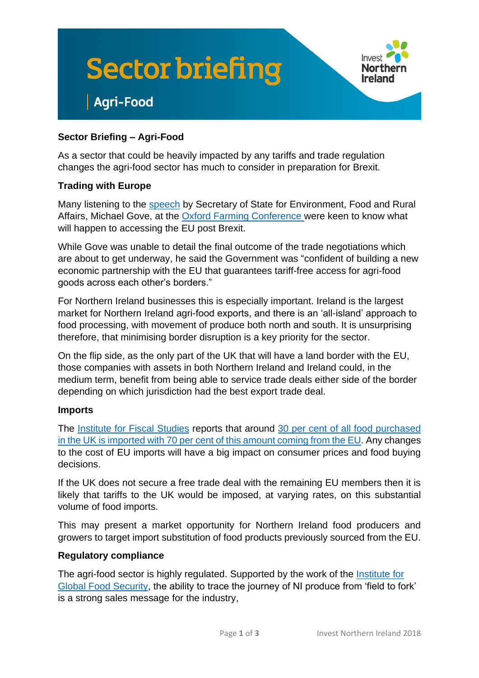



## **Sector Briefing – Agri-Food**

**Agri-Food** 

As a sector that could be heavily impacted by any tariffs and trade regulation changes the agri-food sector has much to consider in preparation for Brexit.

## **Trading with Europe**

Many listening to the [speech](https://www.gov.uk/government/news/farming-for-the-next-generation) by Secretary of State for Environment, Food and Rural Affairs, Michael Gove, at the [Oxford Farming Conference](https://www.ofc.org.uk/) were keen to know what will happen to accessing the EU post Brexit.

While Gove was unable to detail the final outcome of the trade negotiations which are about to get underway, he said the Government was "confident of building a new economic partnership with the EU that guarantees tariff-free access for agri-food goods across each other's borders."

For Northern Ireland businesses this is especially important. Ireland is the largest market for Northern Ireland agri-food exports, and there is an 'all-island' approach to food processing, with movement of produce both north and south. It is unsurprising therefore, that minimising border disruption is a key priority for the sector.

On the flip side, as the only part of the UK that will have a land border with the EU, those companies with assets in both Northern Ireland and Ireland could, in the medium term, benefit from being able to service trade deals either side of the border depending on which jurisdiction had the best export trade deal.

### **Imports**

The [Institute for Fiscal Studies](https://www.ifs.org.uk/) reports that around [30 per cent of all food purchased](https://www.ifs.org.uk/uploads/publications/bns/BN213.pdf)  [in the UK is imported with 70 per cent of this amount coming from the EU.](https://www.ifs.org.uk/uploads/publications/bns/BN213.pdf) Any changes to the cost of EU imports will have a big impact on consumer prices and food buying decisions.

If the UK does not secure a free trade deal with the remaining EU members then it is likely that tariffs to the UK would be imposed, at varying rates, on this substantial volume of food imports.

This may present a market opportunity for Northern Ireland food producers and growers to target import substitution of food products previously sourced from the EU.

### **Regulatory compliance**

The agri-food sector is highly regulated. Supported by the work of the [Institute for](https://www.qub.ac.uk/Research/GRI/TheInstituteforGlobalFoodSecurity/)  [Global Food Security,](https://www.qub.ac.uk/Research/GRI/TheInstituteforGlobalFoodSecurity/) the ability to trace the journey of NI produce from 'field to fork' is a strong sales message for the industry,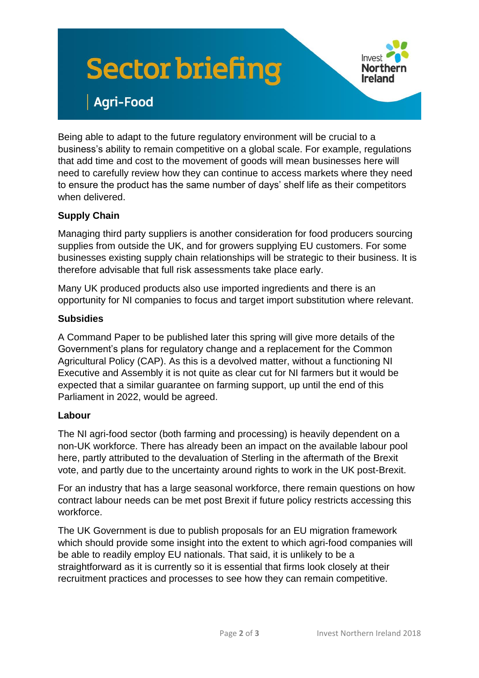# **Sector briefing**



# **Agri-Food**

Being able to adapt to the future regulatory environment will be crucial to a business's ability to remain competitive on a global scale. For example, regulations that add time and cost to the movement of goods will mean businesses here will need to carefully review how they can continue to access markets where they need to ensure the product has the same number of days' shelf life as their competitors when delivered.

## **Supply Chain**

Managing third party suppliers is another consideration for food producers sourcing supplies from outside the UK, and for growers supplying EU customers. For some businesses existing supply chain relationships will be strategic to their business. It is therefore advisable that full risk assessments take place early.

Many UK produced products also use imported ingredients and there is an opportunity for NI companies to focus and target import substitution where relevant.

## **Subsidies**

A Command Paper to be published later this spring will give more details of the Government's plans for regulatory change and a replacement for the Common Agricultural Policy (CAP). As this is a devolved matter, without a functioning NI Executive and Assembly it is not quite as clear cut for NI farmers but it would be expected that a similar guarantee on farming support, up until the end of this Parliament in 2022, would be agreed.

## **Labour**

The NI agri-food sector (both farming and processing) is heavily dependent on a non-UK workforce. There has already been an impact on the available labour pool here, partly attributed to the devaluation of Sterling in the aftermath of the Brexit vote, and partly due to the uncertainty around rights to work in the UK post-Brexit.

For an industry that has a large seasonal workforce, there remain questions on how contract labour needs can be met post Brexit if future policy restricts accessing this workforce.

The UK Government is due to publish proposals for an EU migration framework which should provide some insight into the extent to which agri-food companies will be able to readily employ EU nationals. That said, it is unlikely to be a straightforward as it is currently so it is essential that firms look closely at their recruitment practices and processes to see how they can remain competitive.